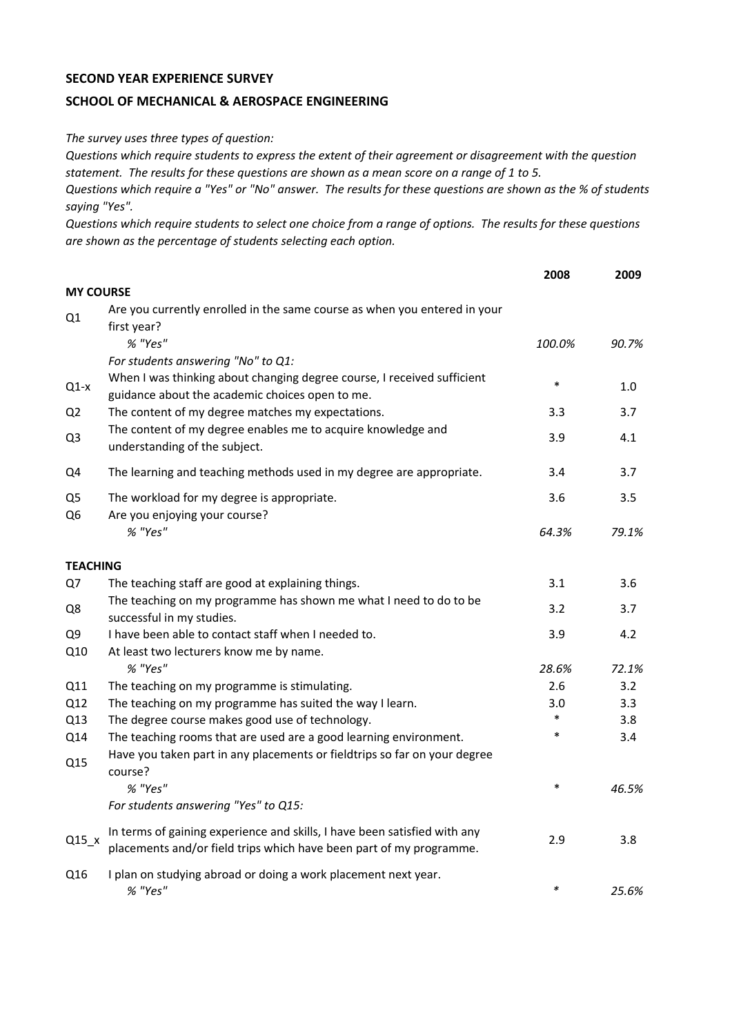## **SECOND YEAR EXPERIENCE SURVEY**

## **SCHOOL OF MECHANICAL & AEROSPACE ENGINEERING**

*The survey uses three types of question:*

*Questions which require students to express the extent of their agreement or disagreement with the question statement. The results for these questions are shown as a mean score on a range of 1 to 5.*

*Questions which require a "Yes" or "No" answer. The results for these questions are shown as the % of students saying "Yes".*

*Questions which require students to select one choice from a range of options. The results for these questions are shown as the percentage of students selecting each option.*

|                                  |                                                                                                                                                  | 2008   | 2009  |
|----------------------------------|--------------------------------------------------------------------------------------------------------------------------------------------------|--------|-------|
| <b>MY COURSE</b>                 |                                                                                                                                                  |        |       |
| Q1                               | Are you currently enrolled in the same course as when you entered in your<br>first year?                                                         |        |       |
|                                  | % "Yes"                                                                                                                                          | 100.0% | 90.7% |
|                                  | For students answering "No" to Q1:                                                                                                               |        |       |
| $Q1-x$                           | When I was thinking about changing degree course, I received sufficient<br>guidance about the academic choices open to me.                       | $\ast$ | 1.0   |
| Q <sub>2</sub>                   | The content of my degree matches my expectations.                                                                                                | 3.3    | 3.7   |
| Q <sub>3</sub>                   | The content of my degree enables me to acquire knowledge and<br>understanding of the subject.                                                    | 3.9    | 4.1   |
| Q4                               | The learning and teaching methods used in my degree are appropriate.                                                                             | 3.4    | 3.7   |
| Q <sub>5</sub><br>Q <sub>6</sub> | The workload for my degree is appropriate.<br>Are you enjoying your course?                                                                      | 3.6    | 3.5   |
|                                  | % "Yes"                                                                                                                                          | 64.3%  | 79.1% |
| <b>TEACHING</b>                  |                                                                                                                                                  |        |       |
| Q7                               | The teaching staff are good at explaining things.                                                                                                | 3.1    | 3.6   |
| Q8                               | The teaching on my programme has shown me what I need to do to be<br>successful in my studies.                                                   | 3.2    | 3.7   |
| Q9                               | I have been able to contact staff when I needed to.                                                                                              | 3.9    | 4.2   |
| Q10                              | At least two lecturers know me by name.                                                                                                          |        |       |
|                                  | % "Yes"                                                                                                                                          | 28.6%  | 72.1% |
| Q11                              | The teaching on my programme is stimulating.                                                                                                     | 2.6    | 3.2   |
| Q12                              | The teaching on my programme has suited the way I learn.                                                                                         | 3.0    | 3.3   |
| Q13                              | The degree course makes good use of technology.                                                                                                  | $\ast$ | 3.8   |
| Q14                              | The teaching rooms that are used are a good learning environment.                                                                                | $\ast$ | 3.4   |
| Q15                              | Have you taken part in any placements or fieldtrips so far on your degree<br>course?                                                             |        |       |
|                                  | % "Yes"                                                                                                                                          | $\ast$ | 46.5% |
|                                  | For students answering "Yes" to Q15:                                                                                                             |        |       |
| $Q15_x$                          | In terms of gaining experience and skills, I have been satisfied with any<br>placements and/or field trips which have been part of my programme. | 2.9    | 3.8   |
| Q16                              | I plan on studying abroad or doing a work placement next year.<br>% "Yes"                                                                        | $\ast$ | 25.6% |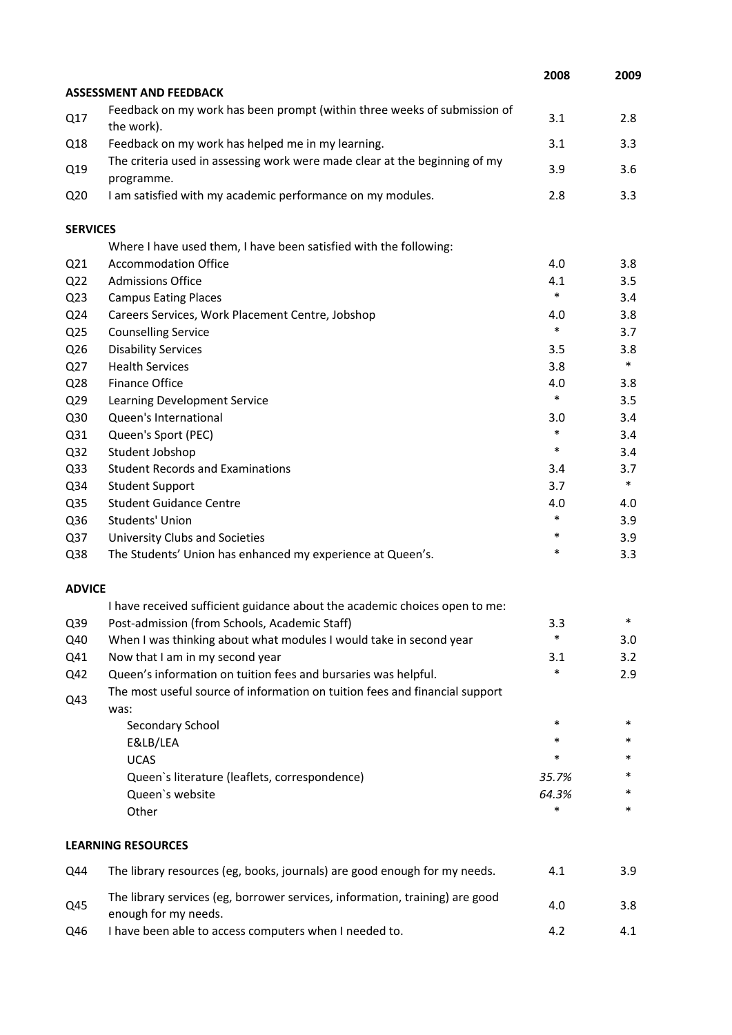|                 |                                                                                                      | 2008   | 2009   |
|-----------------|------------------------------------------------------------------------------------------------------|--------|--------|
|                 | <b>ASSESSMENT AND FEEDBACK</b>                                                                       |        |        |
| Q17             | Feedback on my work has been prompt (within three weeks of submission of<br>the work).               | 3.1    | 2.8    |
| Q18             | Feedback on my work has helped me in my learning.                                                    | 3.1    | 3.3    |
| Q19             | The criteria used in assessing work were made clear at the beginning of my<br>programme.             | 3.9    | 3.6    |
| Q <sub>20</sub> | I am satisfied with my academic performance on my modules.                                           | 2.8    | 3.3    |
| <b>SERVICES</b> |                                                                                                      |        |        |
|                 | Where I have used them, I have been satisfied with the following:                                    |        |        |
| Q <sub>21</sub> | <b>Accommodation Office</b>                                                                          | 4.0    | 3.8    |
| Q <sub>22</sub> | <b>Admissions Office</b>                                                                             | 4.1    | 3.5    |
| Q <sub>23</sub> | <b>Campus Eating Places</b>                                                                          | $\ast$ | 3.4    |
| Q24             | Careers Services, Work Placement Centre, Jobshop                                                     | 4.0    | 3.8    |
| Q <sub>25</sub> | <b>Counselling Service</b>                                                                           | $\ast$ | 3.7    |
| Q26             | <b>Disability Services</b>                                                                           | 3.5    | 3.8    |
| Q27             | <b>Health Services</b>                                                                               | 3.8    | $\ast$ |
| Q28             | Finance Office                                                                                       | 4.0    | 3.8    |
| Q <sub>29</sub> | Learning Development Service                                                                         | $\ast$ | 3.5    |
| Q30             | Queen's International                                                                                | 3.0    | 3.4    |
| Q31             | Queen's Sport (PEC)                                                                                  | *      | 3.4    |
| Q <sub>32</sub> | Student Jobshop                                                                                      | $\ast$ | 3.4    |
| Q <sub>33</sub> | <b>Student Records and Examinations</b>                                                              | 3.4    | 3.7    |
| Q34             | <b>Student Support</b>                                                                               | 3.7    | $\ast$ |
| Q35             | <b>Student Guidance Centre</b>                                                                       | 4.0    | 4.0    |
| Q36             | Students' Union                                                                                      | *      | 3.9    |
| Q <sub>37</sub> | University Clubs and Societies                                                                       | *      | 3.9    |
| Q38             | The Students' Union has enhanced my experience at Queen's.                                           | *      | 3.3    |
| <b>ADVICE</b>   |                                                                                                      |        |        |
|                 | I have received sufficient guidance about the academic choices open to me:                           |        |        |
| Q39             | Post-admission (from Schools, Academic Staff)                                                        | 3.3    |        |
| Q40             | When I was thinking about what modules I would take in second year                                   | *      | 3.0    |
| Q41             | Now that I am in my second year                                                                      | 3.1    | 3.2    |
| Q42             | Queen's information on tuition fees and bursaries was helpful.                                       | *      | 2.9    |
| Q43             | The most useful source of information on tuition fees and financial support<br>was:                  |        |        |
|                 | Secondary School                                                                                     | $\ast$ | $\ast$ |
|                 | E&LB/LEA                                                                                             | *      | *      |
|                 | <b>UCAS</b>                                                                                          | *      | *      |
|                 | Queen's literature (leaflets, correspondence)                                                        | 35.7%  | *      |
|                 | Queen's website                                                                                      | 64.3%  |        |
|                 | Other                                                                                                | *      | *      |
|                 | <b>LEARNING RESOURCES</b>                                                                            |        |        |
| Q44             | The library resources (eg, books, journals) are good enough for my needs.                            | 4.1    | 3.9    |
| Q45             | The library services (eg, borrower services, information, training) are good<br>enough for my needs. | 4.0    | 3.8    |
| Q46             | I have been able to access computers when I needed to.                                               | 4.2    | 4.1    |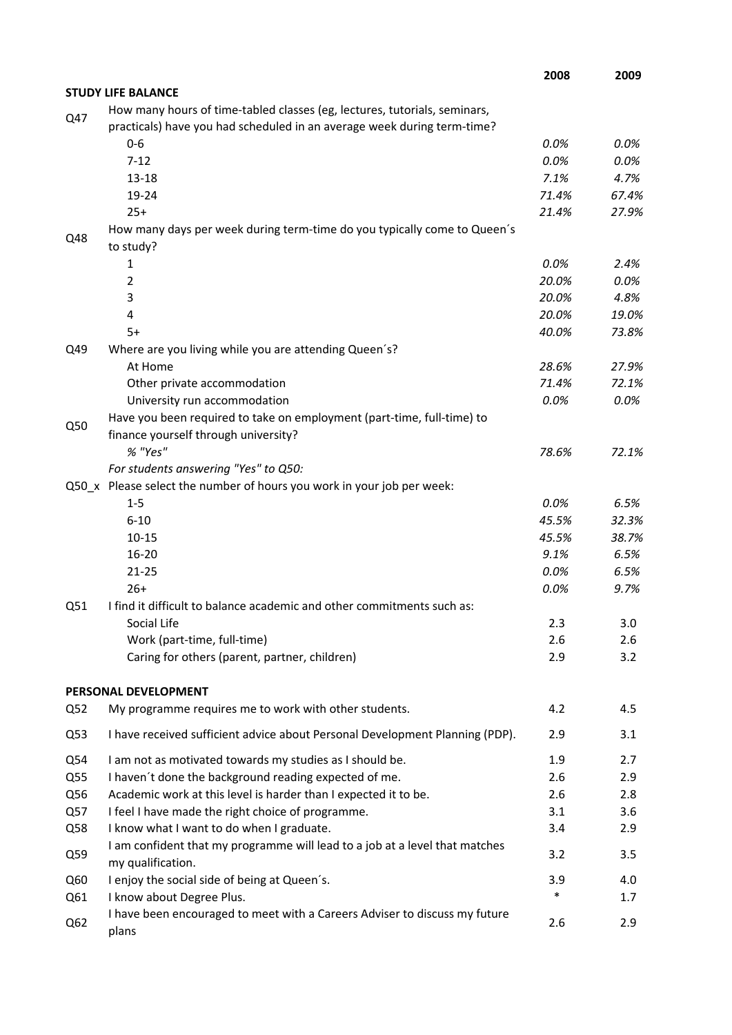|     |                                                                                                  | 2008   | 2009  |
|-----|--------------------------------------------------------------------------------------------------|--------|-------|
|     | <b>STUDY LIFE BALANCE</b>                                                                        |        |       |
| Q47 | How many hours of time-tabled classes (eg, lectures, tutorials, seminars,                        |        |       |
|     | practicals) have you had scheduled in an average week during term-time?                          |        |       |
|     | $0-6$                                                                                            | 0.0%   | 0.0%  |
|     | $7 - 12$                                                                                         | 0.0%   | 0.0%  |
|     | $13 - 18$                                                                                        | 7.1%   | 4.7%  |
|     | 19-24                                                                                            | 71.4%  | 67.4% |
|     | $25+$                                                                                            | 21.4%  | 27.9% |
| Q48 | How many days per week during term-time do you typically come to Queen's<br>to study?            |        |       |
|     | 1                                                                                                | 0.0%   | 2.4%  |
|     | 2                                                                                                | 20.0%  | 0.0%  |
|     | 3                                                                                                | 20.0%  | 4.8%  |
|     | 4                                                                                                | 20.0%  | 19.0% |
|     | $5+$                                                                                             | 40.0%  | 73.8% |
| Q49 | Where are you living while you are attending Queen's?                                            |        |       |
|     | At Home                                                                                          | 28.6%  | 27.9% |
|     | Other private accommodation                                                                      | 71.4%  | 72.1% |
|     | University run accommodation                                                                     | 0.0%   | 0.0%  |
| Q50 | Have you been required to take on employment (part-time, full-time) to                           |        |       |
|     | finance yourself through university?                                                             |        |       |
|     | % "Yes"                                                                                          | 78.6%  | 72.1% |
|     | For students answering "Yes" to Q50:                                                             |        |       |
|     | Q50_x Please select the number of hours you work in your job per week:                           |        |       |
|     | $1 - 5$                                                                                          | 0.0%   | 6.5%  |
|     | $6 - 10$                                                                                         | 45.5%  | 32.3% |
|     | $10 - 15$                                                                                        | 45.5%  | 38.7% |
|     | $16 - 20$                                                                                        | 9.1%   | 6.5%  |
|     | $21 - 25$                                                                                        | 0.0%   | 6.5%  |
|     | $26+$                                                                                            | 0.0%   | 9.7%  |
| Q51 | I find it difficult to balance academic and other commitments such as:                           |        |       |
|     | Social Life                                                                                      | 2.3    | 3.0   |
|     | Work (part-time, full-time)                                                                      | 2.6    | 2.6   |
|     | Caring for others (parent, partner, children)                                                    | 2.9    | 3.2   |
| Q52 | PERSONAL DEVELOPMENT                                                                             | 4.2    | 4.5   |
|     | My programme requires me to work with other students.                                            |        |       |
| Q53 | I have received sufficient advice about Personal Development Planning (PDP).                     | 2.9    | 3.1   |
| Q54 | I am not as motivated towards my studies as I should be.                                         | 1.9    | 2.7   |
| Q55 | I haven't done the background reading expected of me.                                            | 2.6    | 2.9   |
| Q56 | Academic work at this level is harder than I expected it to be.                                  | 2.6    | 2.8   |
| Q57 | I feel I have made the right choice of programme.                                                | 3.1    | 3.6   |
| Q58 | I know what I want to do when I graduate.                                                        | 3.4    | 2.9   |
| Q59 | I am confident that my programme will lead to a job at a level that matches<br>my qualification. | 3.2    | 3.5   |
| Q60 | I enjoy the social side of being at Queen's.                                                     | 3.9    | 4.0   |
| Q61 | I know about Degree Plus.                                                                        | $\ast$ | 1.7   |
| Q62 | I have been encouraged to meet with a Careers Adviser to discuss my future<br>plans              | 2.6    | 2.9   |